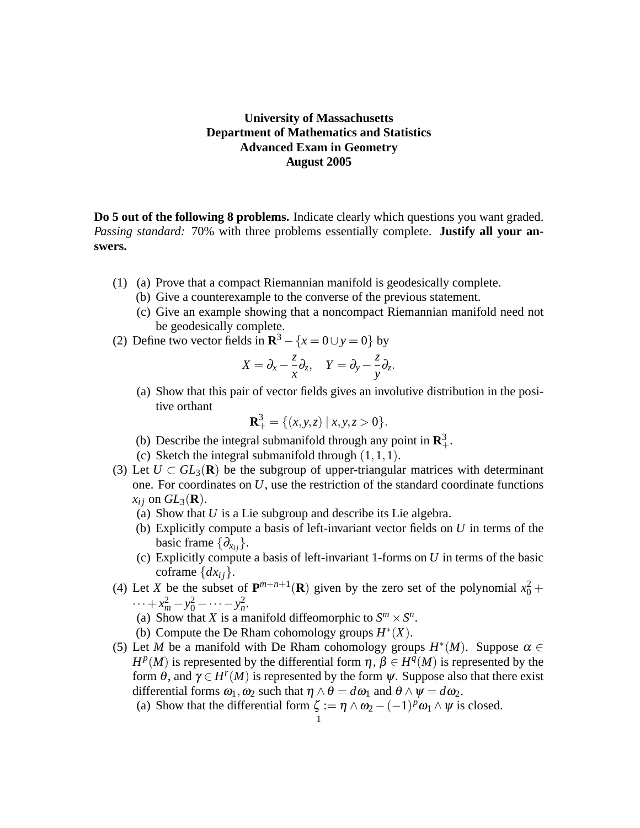## **University of Massachusetts Department of Mathematics and Statistics Advanced Exam in Geometry August 2005**

**Do 5 out of the following 8 problems.** Indicate clearly which questions you want graded. *Passing standard:* 70% with three problems essentially complete. **Justify all your answers.**

- (1) (a) Prove that a compact Riemannian manifold is geodesically complete.
	- (b) Give a counterexample to the converse of the previous statement.
	- (c) Give an example showing that a noncompact Riemannian manifold need not be geodesically complete.
- (2) Define two vector fields in  $\mathbb{R}^3 \{x = 0 \cup y = 0\}$  by

$$
X=\partial_x-\frac{z}{x}\partial_z, \quad Y=\partial_y-\frac{z}{y}\partial_z.
$$

(a) Show that this pair of vector fields gives an involutive distribution in the positive orthant

$$
\mathbf{R}_+^3 = \{ (x, y, z) \mid x, y, z > 0 \}.
$$

- (b) Describe the integral submanifold through any point in  $\mathbb{R}^3_+$ .
- (c) Sketch the integral submanifold through  $(1,1,1)$ .
- (3) Let  $U \subset GL_3(\mathbf{R})$  be the subgroup of upper-triangular matrices with determinant one. For coordinates on *U*, use the restriction of the standard coordinate functions  $x_i$  on  $GL_3(\mathbf{R})$ .
	- (a) Show that *U* is a Lie subgroup and describe its Lie algebra.
	- (b) Explicitly compute a basis of left-invariant vector fields on *U* in terms of the basic frame  $\{\partial_{x_i}\}.$
	- (c) Explicitly compute a basis of left-invariant 1-forms on *U* in terms of the basic coframe  $\{dx_i\}$ .
- (4) Let *X* be the subset of  $P^{m+n+1}(R)$  given by the zero set of the polynomial  $x_0^2$  +  $\cdots + x_m^2 - y_0^2 - \cdots - y_n^2$ .
	- (a) Show that *X* is a manifold diffeomorphic to  $S^m \times S^n$ .
	- (b) Compute the De Rham cohomology groups  $H^*(X)$ .
- (5) Let *M* be a manifold with De Rham cohomology groups  $H^*(M)$ . Suppose  $\alpha \in$ *H*<sup>*p*</sup>(*M*) is represented by the differential form  $\eta$ ,  $\beta \in H^q(M)$  is represented by the form  $\theta$ , and  $\gamma \in H^{r}(M)$  is represented by the form  $\psi$ . Suppose also that there exist differential forms  $\omega_1$ ,  $\omega_2$  such that  $\eta \wedge \theta = d\omega_1$  and  $\theta \wedge \psi = d\omega_2$ .
	- (a) Show that the differential form  $\zeta := \eta \wedge \omega_2 (-1)^p \omega_1 \wedge \psi$  is closed.